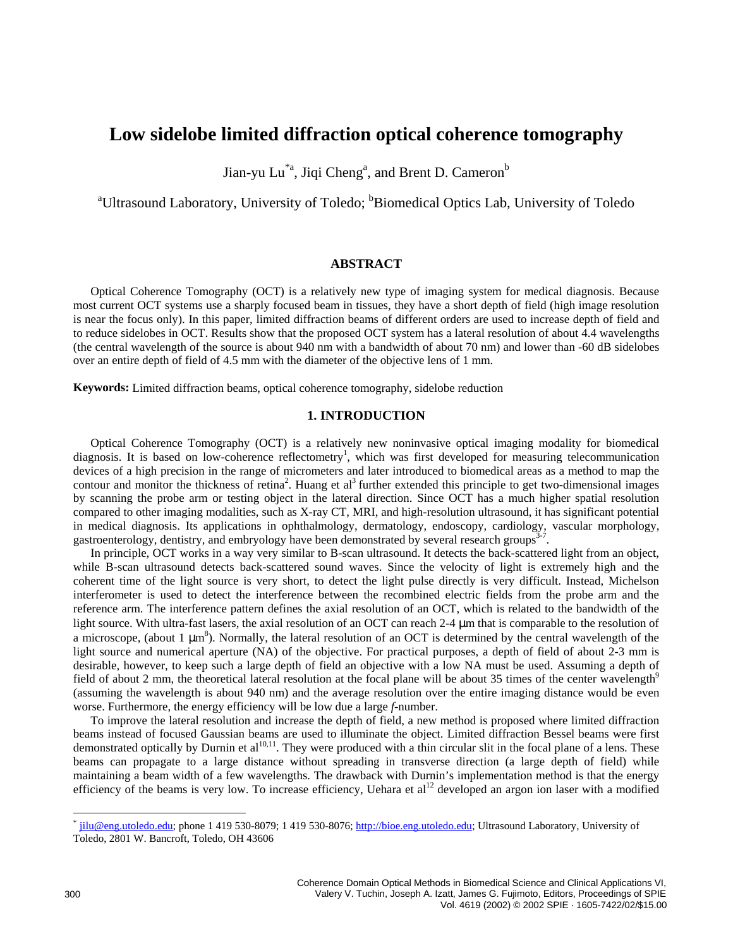# **Low sidelobe limited diffraction optical coherence tomography**

Jian-yu Lu $\text{{\,}^*}^{\rm a}$ , Jiqi Cheng $\text{{\,}^{\rm a}}$ , and Brent D. Cameron $\text{{\,}^{\rm b}}$ 

<sup>a</sup> Ultrasound Laboratory, University of Toledo; <sup>b</sup> Biomedical Optics Lab, University of Toledo

# **ABSTRACT**

Optical Coherence Tomography (OCT) is a relatively new type of imaging system for medical diagnosis. Because most current OCT systems use a sharply focused beam in tissues, they have a short depth of field (high image resolution is near the focus only). In this paper, limited diffraction beams of different orders are used to increase depth of field and to reduce sidelobes in OCT. Results show that the proposed OCT system has a lateral resolution of about 4.4 wavelengths (the central wavelength of the source is about 940 nm with a bandwidth of about 70 nm) and lower than -60 dB sidelobes over an entire depth of field of 4.5 mm with the diameter of the objective lens of 1 mm.

**Keywords:** Limited diffraction beams, optical coherence tomography, sidelobe reduction

# **1. INTRODUCTION**

Optical Coherence Tomography (OCT) is a relatively new noninvasive optical imaging modality for biomedical diagnosis. It is based on low-coherence reflectometry<sup>1</sup>, which was first developed for measuring telecommunication devices of a high precision in the range of micrometers and later introduced to biomedical areas as a method to map the contour and monitor the thickness of retina<sup>2</sup>. Huang et al<sup>3</sup> further extended this principle to get two-dimensional images by scanning the probe arm or testing object in the lateral direction. Since OCT has a much higher spatial resolution compared to other imaging modalities, such as X-ray CT, MRI, and high-resolution ultrasound, it has significant potential in medical diagnosis. Its applications in ophthalmology, dermatology, endoscopy, cardiology, vascular morphology, gastroenterology, dentistry, and embryology have been demonstrated by several research groups<sup>3-7</sup>.

In principle, OCT works in a way very similar to B-scan ultrasound. It detects the back-scattered light from an object, while B-scan ultrasound detects back-scattered sound waves. Since the velocity of light is extremely high and the coherent time of the light source is very short, to detect the light pulse directly is very difficult. Instead, Michelson interferometer is used to detect the interference between the recombined electric fields from the probe arm and the reference arm. The interference pattern defines the axial resolution of an OCT, which is related to the bandwidth of the light source. With ultra-fast lasers, the axial resolution of an OCT can reach 2-4  $\mu$ m that is comparable to the resolution of a microscope, (about 1  $\mu$ m<sup>8</sup>). Normally, the lateral resolution of an OCT is determined by the central wavelength of the light source and numerical aperture (NA) of the objective. For practical purposes, a depth of field of about 2-3 mm is desirable, however, to keep such a large depth of field an objective with a low NA must be used. Assuming a depth of field of about 2 mm, the theoretical lateral resolution at the focal plane will be about 35 times of the center wavelength<sup>9</sup> (assuming the wavelength is about 940 nm) and the average resolution over the entire imaging distance would be even worse. Furthermore, the energy efficiency will be low due a large *f*-number.

To improve the lateral resolution and increase the depth of field, a new method is proposed where limited diffraction beams instead of focused Gaussian beams are used to illuminate the object. Limited diffraction Bessel beams were first demonstrated optically by Durnin et  $al^{10,11}$ . They were produced with a thin circular slit in the focal plane of a lens. These beams can propagate to a large distance without spreading in transverse direction (a large depth of field) while maintaining a beam width of a few wavelengths. The drawback with Durnin's implementation method is that the energy efficiency of the beams is very low. To increase efficiency, Uehara et al<sup>12</sup> developed an argon ion laser with a modified

<sup>\*</sup> jilu@eng.utoledo.edu; phone 1 419 530-8079; 1 419 530-8076; http://bioe.eng.utoledo.edu; Ultrasound Laboratory, University of Toledo, 2801 W. Bancroft, Toledo, OH 43606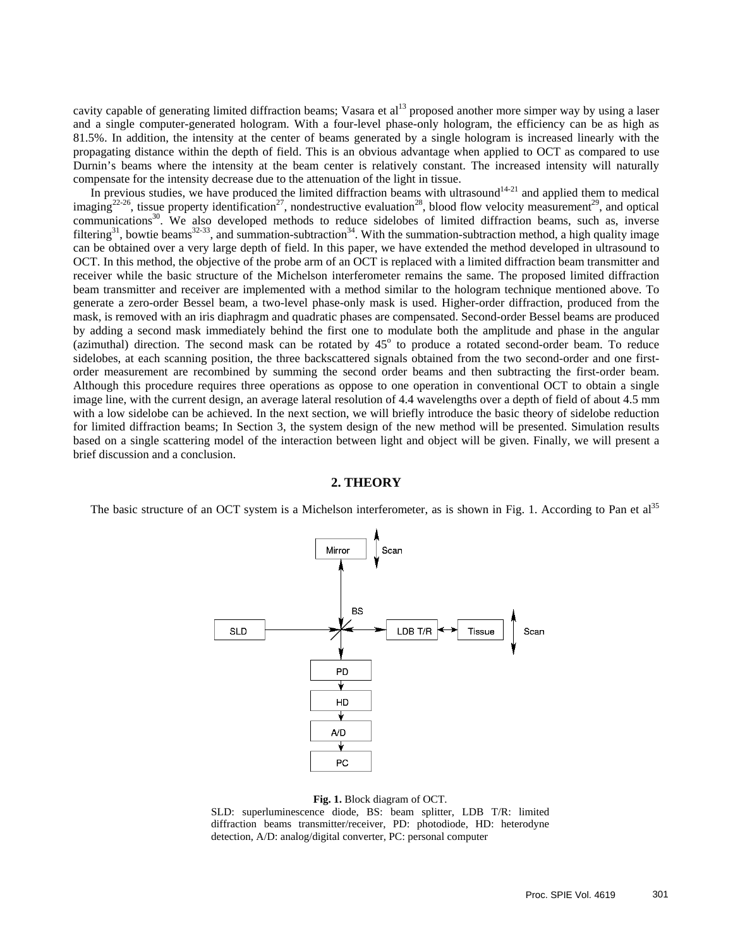cavity capable of generating limited diffraction beams; Vasara et al<sup>13</sup> proposed another more simper way by using a laser and a single computer-generated hologram. With a four-level phase-only hologram, the efficiency can be as high as 81.5%. In addition, the intensity at the center of beams generated by a single hologram is increased linearly with the propagating distance within the depth of field. This is an obvious advantage when applied to OCT as compared to use Durnin's beams where the intensity at the beam center is relatively constant. The increased intensity will naturally compensate for the intensity decrease due to the attenuation of the light in tissue.

In previous studies, we have produced the limited diffraction beams with ultrasound $14-21$  and applied them to medical imaging<sup>22-26</sup>, tissue property identification<sup>27</sup>, nondestructive evaluation<sup>28</sup>, blood flow velocity measurement<sup>29</sup>, and optical communications<sup>30</sup>. We also developed methods to reduce sidelobes of limited diffraction beams, such as, inverse filtering<sup>31</sup>, bowtie beams<sup>32-33</sup>, and summation-subtraction<sup>34</sup>. With the summation-subtraction method, a high quality image can be obtained over a very large depth of field. In this paper, we have extended the method developed in ultrasound to OCT. In this method, the objective of the probe arm of an OCT is replaced with a limited diffraction beam transmitter and receiver while the basic structure of the Michelson interferometer remains the same. The proposed limited diffraction beam transmitter and receiver are implemented with a method similar to the hologram technique mentioned above. To generate a zero-order Bessel beam, a two-level phase-only mask is used. Higher-order diffraction, produced from the mask, is removed with an iris diaphragm and quadratic phases are compensated. Second-order Bessel beams are produced by adding a second mask immediately behind the first one to modulate both the amplitude and phase in the angular (azimuthal) direction. The second mask can be rotated by  $45^{\circ}$  to produce a rotated second-order beam. To reduce sidelobes, at each scanning position, the three backscattered signals obtained from the two second-order and one firstorder measurement are recombined by summing the second order beams and then subtracting the first-order beam. Although this procedure requires three operations as oppose to one operation in conventional OCT to obtain a single image line, with the current design, an average lateral resolution of 4.4 wavelengths over a depth of field of about 4.5 mm with a low sidelobe can be achieved. In the next section, we will briefly introduce the basic theory of sidelobe reduction for limited diffraction beams; In Section 3, the system design of the new method will be presented. Simulation results based on a single scattering model of the interaction between light and object will be given. Finally, we will present a brief discussion and a conclusion.

#### **2. THEORY**

The basic structure of an OCT system is a Michelson interferometer, as is shown in Fig. 1. According to Pan et  $a^{35}$ 



#### **Fig. 1.** Block diagram of OCT.

SLD: superluminescence diode, BS: beam splitter, LDB T/R: limited diffraction beams transmitter/receiver, PD: photodiode, HD: heterodyne detection, A/D: analog/digital converter, PC: personal computer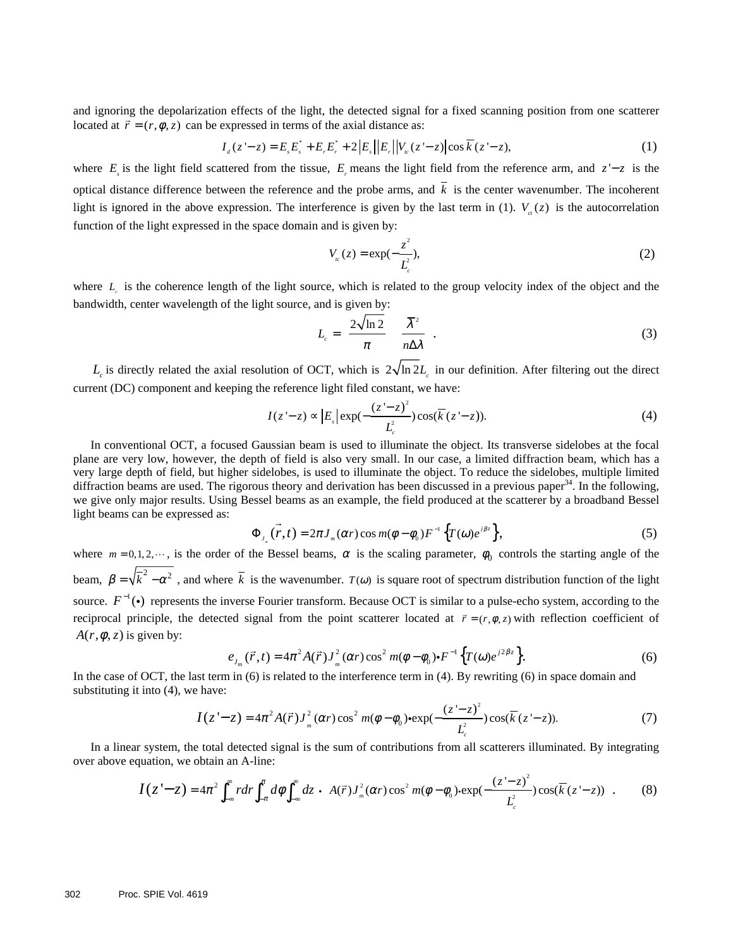and ignoring the depolarization effects of the light, the detected signal for a fixed scanning position from one scatterer located at  $\vec{r} = (r, \phi, z)$  can be expressed in terms of the axial distance as:

$$
I_{d}(z'-z) = E_{s}E_{s}^{*} + E_{r}E_{r}^{*} + 2|E_{s}||E_{r}||V_{w}(z'-z)|\cos \overline{k}(z-z),
$$
\n(1)

where  $E<sub>i</sub>$  is the light field scattered from the tissue,  $E<sub>i</sub>$  means the light field from the reference arm, and  $z - z$  is the optical distance difference between the reference and the probe arms, and  $\overline{k}$  is the center wavenumber. The incoherent light is ignored in the above expression. The interference is given by the last term in (1).  $V_a(z)$  is the autocorrelation function of the light expressed in the space domain and is given by:

$$
V_{ic}(z) = \exp(-\frac{z^2}{L_c^2}),
$$
\t(2)

where *L* is the coherence length of the light source, which is related to the group velocity index of the object and the bandwidth, center wavelength of the light source, and is given by:

$$
L_c = \left(\frac{2\sqrt{\ln 2}}{\pi}\right) \left(\frac{\overline{\lambda}^2}{n\Delta\lambda}\right).
$$
 (3)

 $L_c$  is directly related the axial resolution of OCT, which is  $2\sqrt{\ln 2L_c}$  in our definition. After filtering out the direct current (DC) component and keeping the reference light filed constant, we have:

$$
I(z'-z) \propto |E_s| \exp(-\frac{(z'-z)^2}{L_c^2}) \cos(\overline{k}(z'-z)).
$$
 (4)

In conventional OCT, a focused Gaussian beam is used to illuminate the object. Its transverse sidelobes at the focal plane are very low, however, the depth of field is also very small. In our case, a limited diffraction beam, which has a very large depth of field, but higher sidelobes, is used to illuminate the object. To reduce the sidelobes, multiple limited diffraction beams are used. The rigorous theory and derivation has been discussed in a previous paper $34$ . In the following, we give only major results. Using Bessel beams as an example, the field produced at the scatterer by a broadband Bessel light beams can be expressed as:  $\overline{\phantom{a}}$ 

$$
\Phi_{J_n}(\vec{r},t) = 2\pi J_n(\alpha r) \cos m(\phi - \phi_0) F^{-1} \left\{ T(\omega) e^{j\beta z} \right\},\tag{5}
$$

where  $m = 0, 1, 2, \dots$ , is the order of the Bessel beams,  $\alpha$  is the scaling parameter,  $\phi_0$  controls the starting angle of the beam,  $\beta = \sqrt{k^2 - \alpha^2}$ , and where  $\overline{k}$  is the wavenumber.  $T(\omega)$  is square root of spectrum distribution function of the light source.  $F^{-1}(\cdot)$  represents the inverse Fourier transform. Because OCT is similar to a pulse-echo system, according to the reciprocal principle, the detected signal from the point scatterer located at  $\vec{r} = (r, \phi, z)$  with reflection coefficient of  $A(r, \phi, z)$  is given by:

$$
e_{J_m}(\vec{r},t) = 4\pi^2 A(\vec{r}) J_m^2(\alpha r) \cos^2 m(\phi - \phi_0) \cdot F^{-1} \left\{ T(\omega) e^{j2\beta z} \right\}.
$$
 (6)

In the case of OCT, the last term in (6) is related to the interference term in (4). By rewriting (6) in space domain and substituting it into (4), we have:

$$
I(z'-z) = 4\pi^2 A(\vec{r}) J_m^2(\alpha r) \cos^2 m(\phi - \phi_0) \cdot \exp(-\frac{(z'-z)^2}{L_c^2}) \cos(\overline{k}(z'-z)).
$$
 (7)

In a linear system, the total detected signal is the sum of contributions from all scatterers illuminated. By integrating over above equation, we obtain an A-line:

$$
I(z'-z) = 4\pi^2 \int_{-\infty}^{\infty} r dr \int_{-\pi}^{\pi} d\phi \int_{-\infty}^{\infty} dz \cdot \left[ A(\vec{r}) J_{m}^{2}(\alpha r) \cos^2 m(\phi - \phi_0) \cdot \exp(-\frac{(z'-z)^2}{L_c^2}) \cos(\overline{k}(z-z)) \right].
$$
 (8)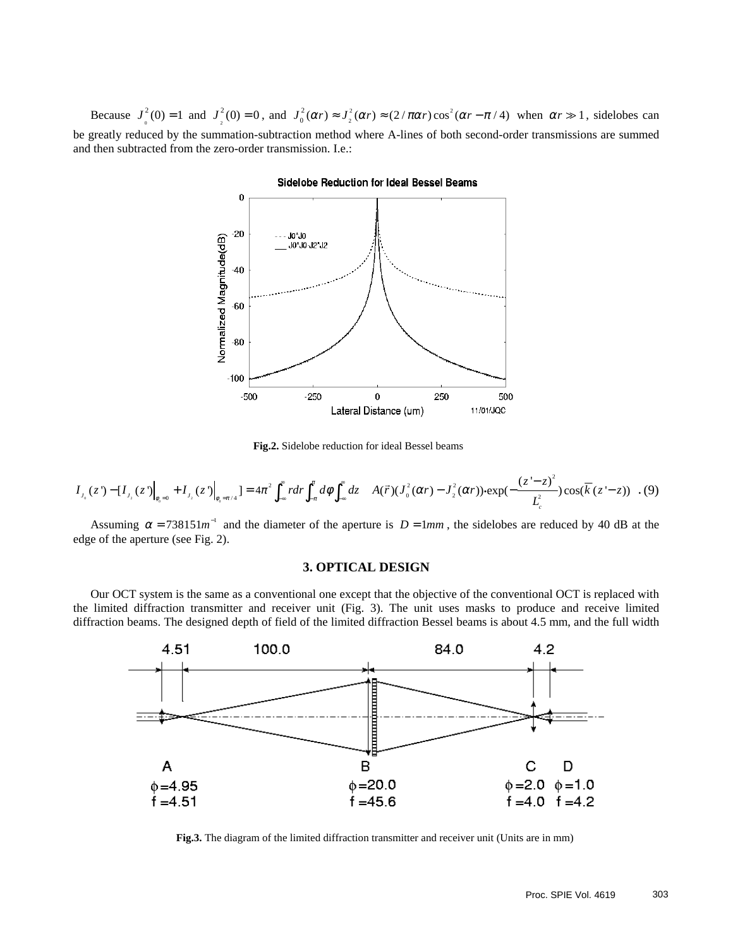Because  $J_0^2(0) = 1$  and  $J_2^2(0) = 0$ , and  $J_0^2(\alpha r) \approx J_2^2(\alpha r) \approx (2/\pi \alpha r) \cos^2 \alpha$  $J_0^2(\alpha r) \approx J_2^2(\alpha r) \approx (2/\pi \alpha r) \cos^2(\alpha r - \pi / 4)$  when  $\alpha r \gg 1$ , sidelobes can be greatly reduced by the summation-subtraction method where A-lines of both second-order transmissions are summed and then subtracted from the zero-order transmission. I.e.:



**Sidelobe Reduction for Ideal Bessel Beams** 

**Fig.2.** Sidelobe reduction for ideal Bessel beams

$$
I_{J_0}(z) - [I_{J_2}(z)]_{\phi_0 = 0} + I_{J_2}(z)]_{\phi_0 = \pi/4} = 4\pi^2 \int_{-\infty}^{\infty} r dr \int_{-\pi}^{\pi} d\phi \int_{-\infty}^{\infty} dz \left[ A(\vec{r}) (J_0^2(\alpha r) - J_2^2(\alpha r)) \cdot \exp(-\frac{(z'-z)^2}{L_c^2}) \cos(\overline{k}(z'-z)) \right]. \tag{9}
$$

Assuming  $\alpha = 738151m^{-1}$  and the diameter of the aperture is  $D = 1mm$ , the sidelobes are reduced by 40 dB at the edge of the aperture (see Fig. 2).

### **3. OPTICAL DESIGN**

Our OCT system is the same as a conventional one except that the objective of the conventional OCT is replaced with the limited diffraction transmitter and receiver unit (Fig. 3). The unit uses masks to produce and receive limited diffraction beams. The designed depth of field of the limited diffraction Bessel beams is about 4.5 mm, and the full width



**Fig.3.** The diagram of the limited diffraction transmitter and receiver unit (Units are in mm)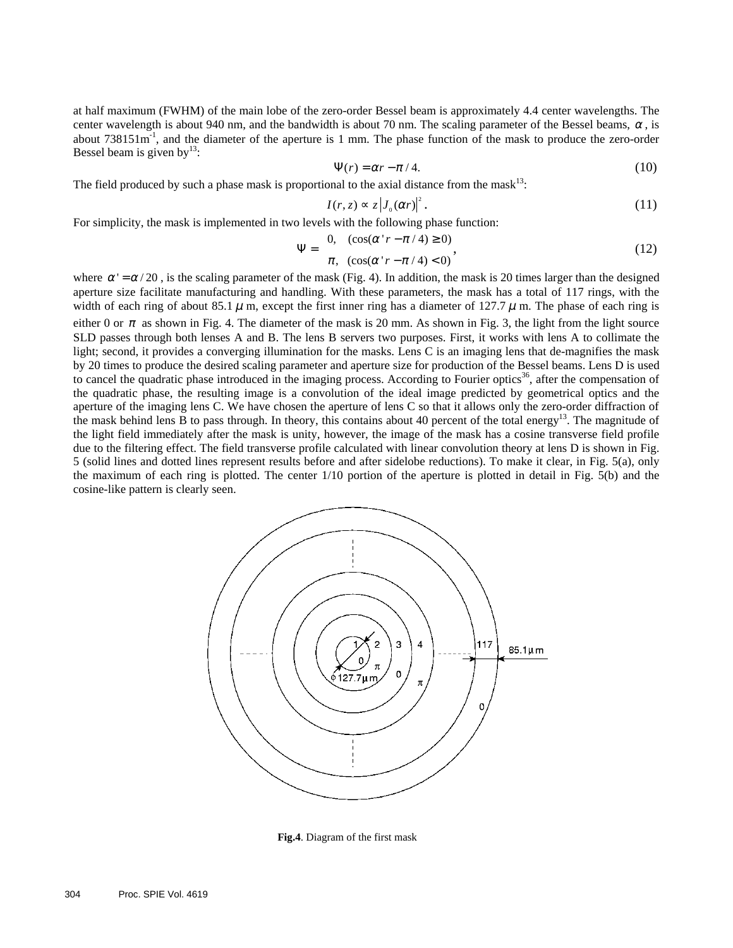at half maximum (FWHM) of the main lobe of the zero-order Bessel beam is approximately 4.4 center wavelengths. The center wavelength is about 940 nm, and the bandwidth is about 70 nm. The scaling parameter of the Bessel beams,  $\alpha$ , is about 738151m-1, and the diameter of the aperture is 1 mm. The phase function of the mask to produce the zero-order Bessel beam is given by  $13$ :

$$
\Psi(r) = \alpha r - \pi / 4. \tag{10}
$$

The field produced by such a phase mask is proportional to the axial distance from the mask<sup>13</sup>:

$$
I(r, z) \propto z \left| J_0(\alpha r) \right|^2. \tag{11}
$$

For simplicity, the mask is implemented in two levels with the following phase function:

$$
\Psi = \begin{cases} 0, & (\cos(\alpha \cdot r - \pi / 4) \ge 0) \\ \pi, & (\cos(\alpha \cdot r - \pi / 4) < 0) \end{cases} \tag{12}
$$

where  $\alpha' = \alpha/20$ , is the scaling parameter of the mask (Fig. 4). In addition, the mask is 20 times larger than the designed aperture size facilitate manufacturing and handling. With these parameters, the mask has a total of 117 rings, with the width of each ring of about 85.1  $\mu$  m, except the first inner ring has a diameter of 127.7  $\mu$  m. The phase of each ring is either 0 or  $\pi$  as shown in Fig. 4. The diameter of the mask is 20 mm. As shown in Fig. 3, the light from the light source SLD passes through both lenses A and B. The lens B servers two purposes. First, it works with lens A to collimate the light; second, it provides a converging illumination for the masks. Lens C is an imaging lens that de-magnifies the mask by 20 times to produce the desired scaling parameter and aperture size for production of the Bessel beams. Lens D is used to cancel the quadratic phase introduced in the imaging process. According to Fourier optics<sup>36</sup>, after the compensation of the quadratic phase, the resulting image is a convolution of the ideal image predicted by geometrical optics and the aperture of the imaging lens C. We have chosen the aperture of lens C so that it allows only the zero-order diffraction of the mask behind lens B to pass through. In theory, this contains about 40 percent of the total energy<sup>13</sup>. The magnitude of the light field immediately after the mask is unity, however, the image of the mask has a cosine transverse field profile due to the filtering effect. The field transverse profile calculated with linear convolution theory at lens D is shown in Fig. 5 (solid lines and dotted lines represent results before and after sidelobe reductions). To make it clear, in Fig. 5(a), only the maximum of each ring is plotted. The center 1/10 portion of the aperture is plotted in detail in Fig. 5(b) and the cosine-like pattern is clearly seen.



**Fig.4**. Diagram of the first mask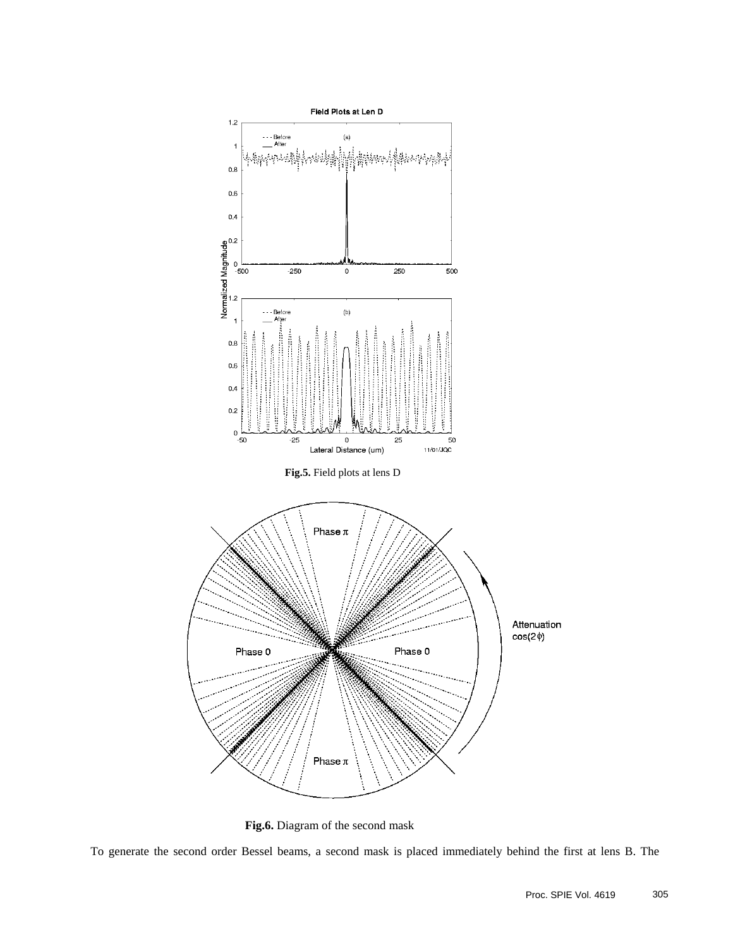

**Fig.6.** Diagram of the second mask

To generate the second order Bessel beams, a second mask is placed immediately behind the first at lens B. The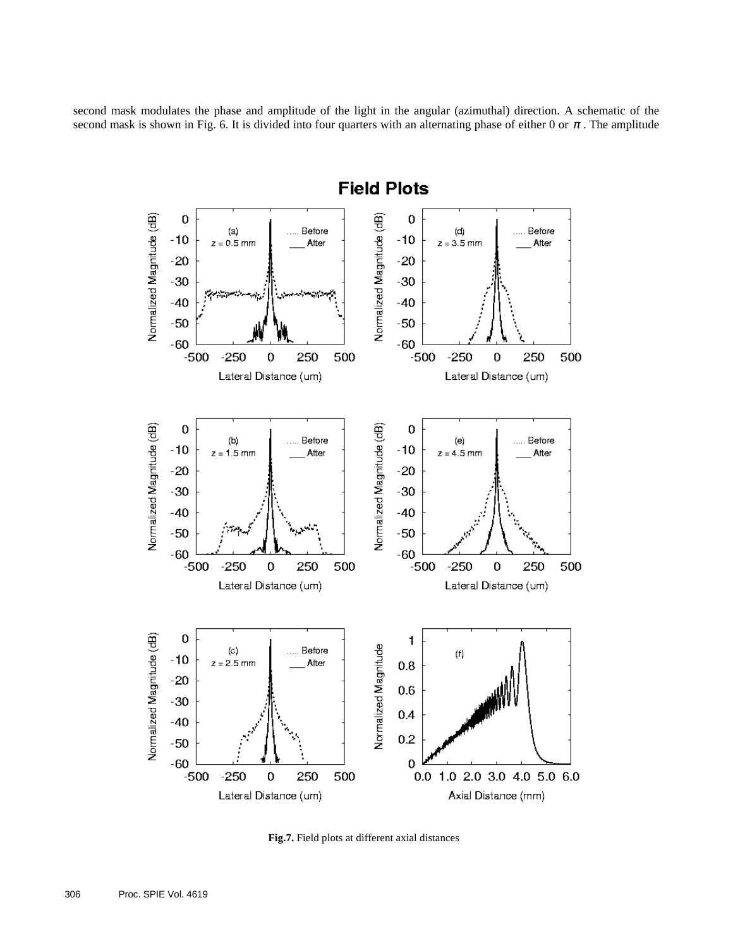second mask modulates the phase and amplitude of the light in the angular (azimuthal) direction. A schematic of the second mask is shown in Fig. 6. It is divided into four quarters with an alternating phase of either 0 or  $\pi$ . The amplitude



**Fig.7.** Field plots at different axial distances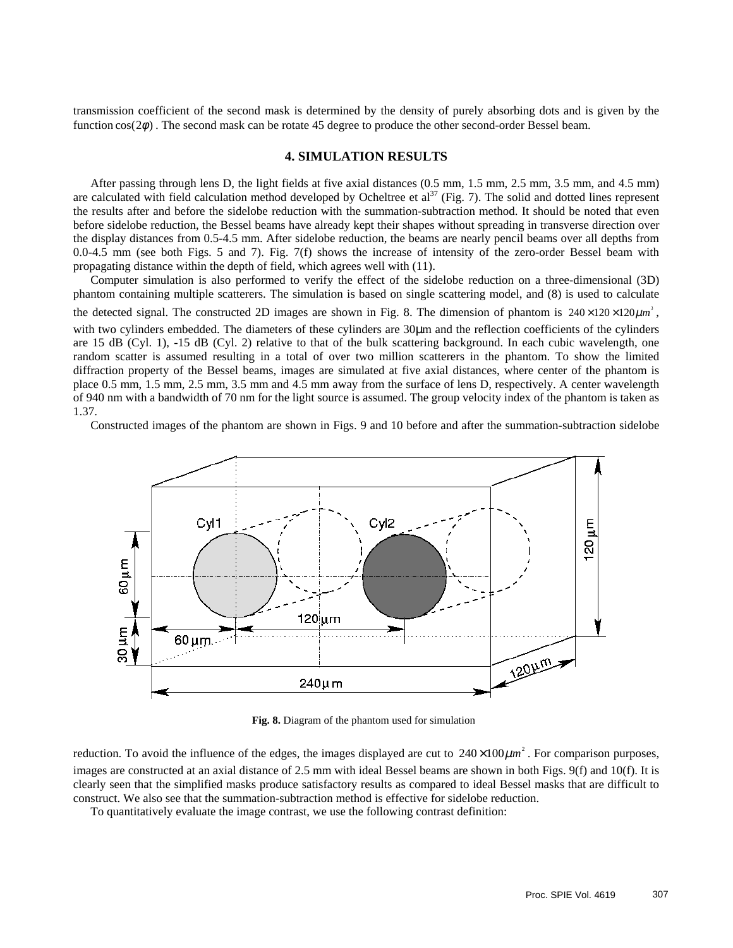transmission coefficient of the second mask is determined by the density of purely absorbing dots and is given by the function  $cos(2\phi)$ . The second mask can be rotate 45 degree to produce the other second-order Bessel beam.

# **4. SIMULATION RESULTS**

After passing through lens D, the light fields at five axial distances (0.5 mm, 1.5 mm, 2.5 mm, 3.5 mm, and 4.5 mm) are calculated with field calculation method developed by Ocheltree et  $al^{37}$  (Fig. 7). The solid and dotted lines represent the results after and before the sidelobe reduction with the summation-subtraction method. It should be noted that even before sidelobe reduction, the Bessel beams have already kept their shapes without spreading in transverse direction over the display distances from 0.5-4.5 mm. After sidelobe reduction, the beams are nearly pencil beams over all depths from 0.0-4.5 mm (see both Figs. 5 and 7). Fig. 7(f) shows the increase of intensity of the zero-order Bessel beam with propagating distance within the depth of field, which agrees well with (11).

Computer simulation is also performed to verify the effect of the sidelobe reduction on a three-dimensional (3D) phantom containing multiple scatterers. The simulation is based on single scattering model, and (8) is used to calculate the detected signal. The constructed 2D images are shown in Fig. 8. The dimension of phantom is  $240 \times 120 \times 120 \mu m^3$ , with two cylinders embedded. The diameters of these cylinders are 30 $\mu$ m and the reflection coefficients of the cylinders are 15 dB (Cyl. 1), -15 dB (Cyl. 2) relative to that of the bulk scattering background. In each cubic wavelength, one random scatter is assumed resulting in a total of over two million scatterers in the phantom. To show the limited diffraction property of the Bessel beams, images are simulated at five axial distances, where center of the phantom is place 0.5 mm, 1.5 mm, 2.5 mm, 3.5 mm and 4.5 mm away from the surface of lens D, respectively. A center wavelength of 940 nm with a bandwidth of 70 nm for the light source is assumed. The group velocity index of the phantom is taken as 1.37.

Constructed images of the phantom are shown in Figs. 9 and 10 before and after the summation-subtraction sidelobe



**Fig. 8.** Diagram of the phantom used for simulation

reduction. To avoid the influence of the edges, the images displayed are cut to  $240 \times 100 \mu m^2$ . For comparison purposes, images are constructed at an axial distance of 2.5 mm with ideal Bessel beams are shown in both Figs. 9(f) and 10(f). It is clearly seen that the simplified masks produce satisfactory results as compared to ideal Bessel masks that are difficult to construct. We also see that the summation-subtraction method is effective for sidelobe reduction.

To quantitatively evaluate the image contrast, we use the following contrast definition: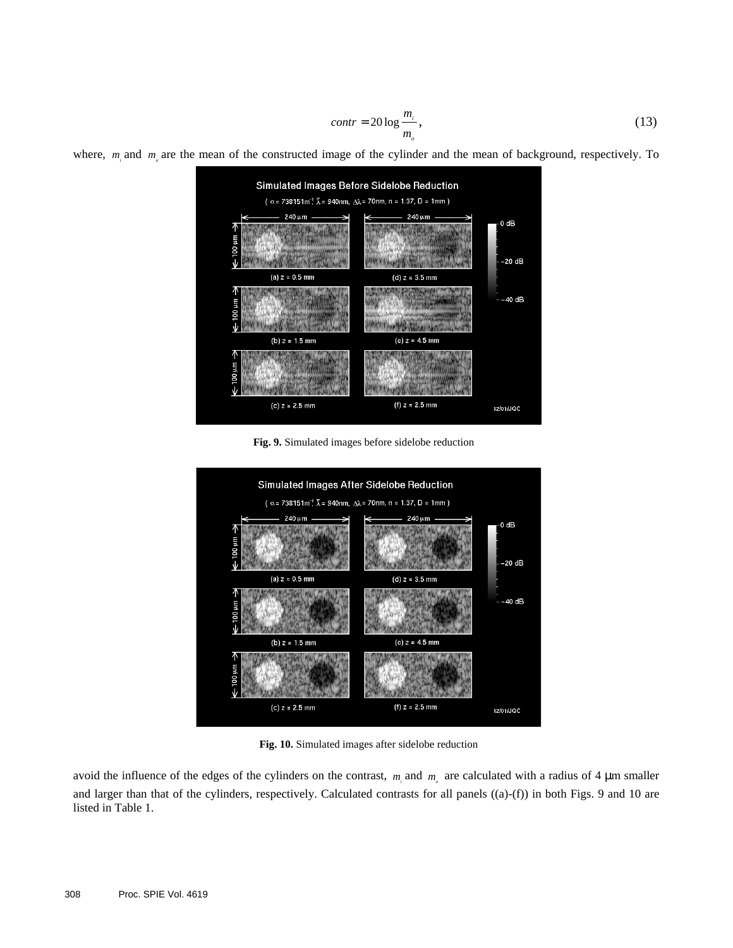$$
contr = 20 \log \frac{m_i}{m_o},\tag{13}
$$

where,  $m_i$  and  $m_s$  are the mean of the constructed image of the cylinder and the mean of background, respectively. To



**Fig. 9.** Simulated images before sidelobe reduction



**Fig. 10.** Simulated images after sidelobe reduction

avoid the influence of the edges of the cylinders on the contrast,  $m_i$  and  $m_\rho$  are calculated with a radius of 4  $\mu$ m smaller and larger than that of the cylinders, respectively. Calculated contrasts for all panels ((a)-(f)) in both Figs. 9 and 10 are listed in Table 1.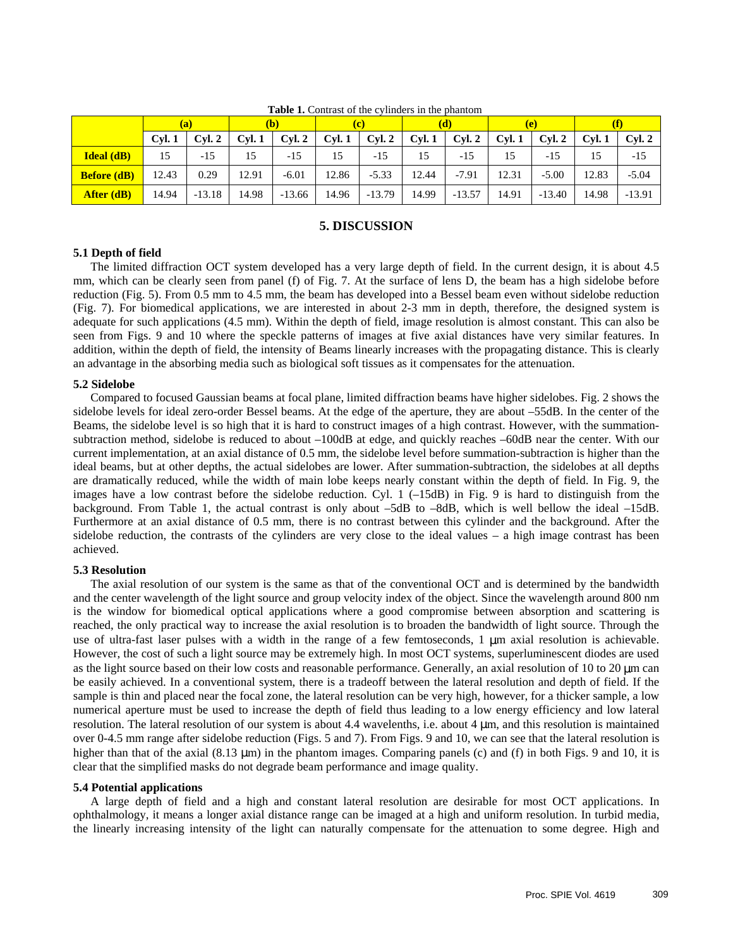| <b>Tuble 1:</b> Contrast of the extintents in the phantom |       |          |        |          |       |          |       |          |       |          |       |          |
|-----------------------------------------------------------|-------|----------|--------|----------|-------|----------|-------|----------|-------|----------|-------|----------|
|                                                           | (a)   |          | (b)    |          | tc.   |          | (d)   |          | (e)   |          |       |          |
|                                                           | Cvl.1 | Cvl. 2   | Cyl. 1 | Cyl. 2   | Cyl.1 | Cyl. 2   | Cyl.1 | Cyl. 2   | Cyl.1 | Cvl. 2   | Cvl.1 | Cyl. 2   |
| <b>Ideal</b> (dB)                                         | 15    | $-1.5$   |        | $-1.5$   | 15    | $-15$    | 15    | -15      | 15    | $-1.5$   | 15    | $-15$    |
| <b>Before</b> (dB)                                        | 12.43 | 0.29     | 12.91  | $-6.01$  | 12.86 | $-5.33$  | 12.44 | $-7.91$  | 12.31 | $-5.00$  | 12.83 | $-5.04$  |
| <b>After (dB)</b>                                         | 14.94 | $-13.18$ | 14.98  | $-13.66$ | 14.96 | $-13.79$ | 14.99 | $-13.57$ | 14.91 | $-13.40$ | 14.98 | $-13.91$ |

**Table 1.** Contrast of the cylinders in the phantom

## **5. DISCUSSION**

### **5.1 Depth of field**

The limited diffraction OCT system developed has a very large depth of field. In the current design, it is about 4.5 mm, which can be clearly seen from panel (f) of Fig. 7. At the surface of lens D, the beam has a high sidelobe before reduction (Fig. 5). From 0.5 mm to 4.5 mm, the beam has developed into a Bessel beam even without sidelobe reduction (Fig. 7). For biomedical applications, we are interested in about 2-3 mm in depth, therefore, the designed system is adequate for such applications (4.5 mm). Within the depth of field, image resolution is almost constant. This can also be seen from Figs. 9 and 10 where the speckle patterns of images at five axial distances have very similar features. In addition, within the depth of field, the intensity of Beams linearly increases with the propagating distance. This is clearly an advantage in the absorbing media such as biological soft tissues as it compensates for the attenuation.

#### **5.2 Sidelobe**

Compared to focused Gaussian beams at focal plane, limited diffraction beams have higher sidelobes. Fig. 2 shows the sidelobe levels for ideal zero-order Bessel beams. At the edge of the aperture, they are about –55dB. In the center of the Beams, the sidelobe level is so high that it is hard to construct images of a high contrast. However, with the summationsubtraction method, sidelobe is reduced to about –100dB at edge, and quickly reaches –60dB near the center. With our current implementation, at an axial distance of 0.5 mm, the sidelobe level before summation-subtraction is higher than the ideal beams, but at other depths, the actual sidelobes are lower. After summation-subtraction, the sidelobes at all depths are dramatically reduced, while the width of main lobe keeps nearly constant within the depth of field. In Fig. 9, the images have a low contrast before the sidelobe reduction. Cyl. 1 (–15dB) in Fig. 9 is hard to distinguish from the background. From Table 1, the actual contrast is only about –5dB to –8dB, which is well bellow the ideal –15dB. Furthermore at an axial distance of 0.5 mm, there is no contrast between this cylinder and the background. After the sidelobe reduction, the contrasts of the cylinders are very close to the ideal values – a high image contrast has been achieved.

#### **5.3 Resolution**

The axial resolution of our system is the same as that of the conventional OCT and is determined by the bandwidth and the center wavelength of the light source and group velocity index of the object. Since the wavelength around 800 nm is the window for biomedical optical applications where a good compromise between absorption and scattering is reached, the only practical way to increase the axial resolution is to broaden the bandwidth of light source. Through the use of ultra-fast laser pulses with a width in the range of a few femtoseconds, 1 µm axial resolution is achievable. However, the cost of such a light source may be extremely high. In most OCT systems, superluminescent diodes are used as the light source based on their low costs and reasonable performance. Generally, an axial resolution of 10 to 20  $\mu$ m can be easily achieved. In a conventional system, there is a tradeoff between the lateral resolution and depth of field. If the sample is thin and placed near the focal zone, the lateral resolution can be very high, however, for a thicker sample, a low numerical aperture must be used to increase the depth of field thus leading to a low energy efficiency and low lateral resolution. The lateral resolution of our system is about 4.4 wavelenths, i.e. about 4 µm, and this resolution is maintained over 0-4.5 mm range after sidelobe reduction (Figs. 5 and 7). From Figs. 9 and 10, we can see that the lateral resolution is higher than that of the axial (8.13 µm) in the phantom images. Comparing panels (c) and (f) in both Figs. 9 and 10, it is clear that the simplified masks do not degrade beam performance and image quality.

#### **5.4 Potential applications**

A large depth of field and a high and constant lateral resolution are desirable for most OCT applications. In ophthalmology, it means a longer axial distance range can be imaged at a high and uniform resolution. In turbid media, the linearly increasing intensity of the light can naturally compensate for the attenuation to some degree. High and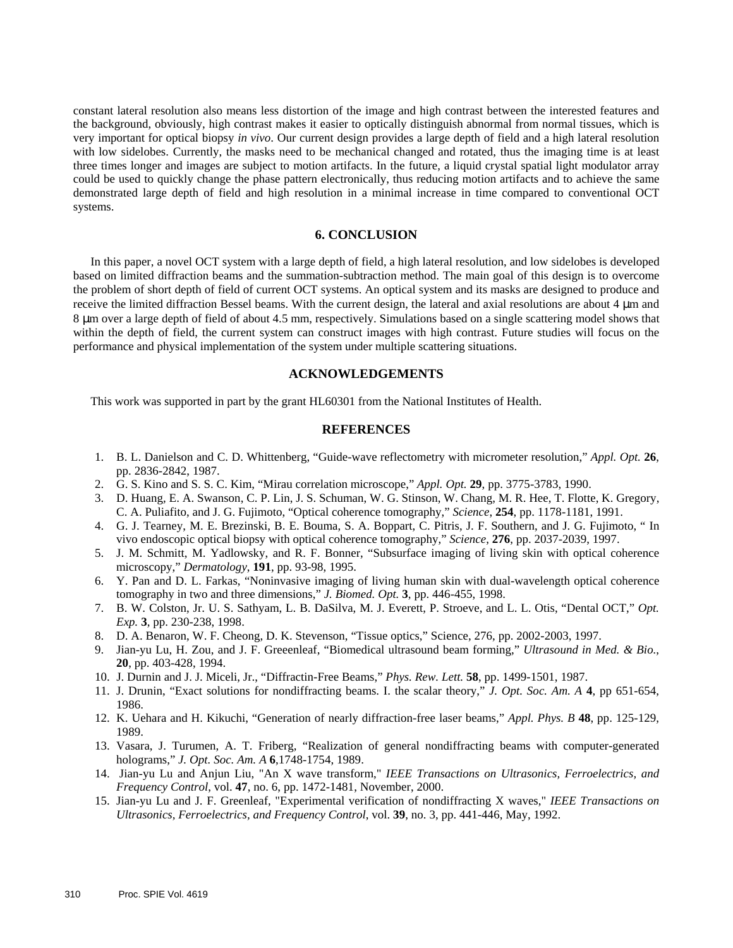constant lateral resolution also means less distortion of the image and high contrast between the interested features and the background, obviously, high contrast makes it easier to optically distinguish abnormal from normal tissues, which is very important for optical biopsy *in vivo*. Our current design provides a large depth of field and a high lateral resolution with low sidelobes. Currently, the masks need to be mechanical changed and rotated, thus the imaging time is at least three times longer and images are subject to motion artifacts. In the future, a liquid crystal spatial light modulator array could be used to quickly change the phase pattern electronically, thus reducing motion artifacts and to achieve the same demonstrated large depth of field and high resolution in a minimal increase in time compared to conventional OCT systems.

# **6. CONCLUSION**

In this paper, a novel OCT system with a large depth of field, a high lateral resolution, and low sidelobes is developed based on limited diffraction beams and the summation-subtraction method. The main goal of this design is to overcome the problem of short depth of field of current OCT systems. An optical system and its masks are designed to produce and receive the limited diffraction Bessel beams. With the current design, the lateral and axial resolutions are about 4 µm and 8 µm over a large depth of field of about 4.5 mm, respectively. Simulations based on a single scattering model shows that within the depth of field, the current system can construct images with high contrast. Future studies will focus on the performance and physical implementation of the system under multiple scattering situations.

# **ACKNOWLEDGEMENTS**

This work was supported in part by the grant HL60301 from the National Institutes of Health.

# **REFERENCES**

- 1. B. L. Danielson and C. D. Whittenberg, "Guide-wave reflectometry with micrometer resolution," *Appl. Opt.* **26**, pp. 2836-2842, 1987.
- 2. G. S. Kino and S. S. C. Kim, "Mirau correlation microscope," *Appl. Opt.* **29**, pp. 3775-3783, 1990.
- 3. D. Huang, E. A. Swanson, C. P. Lin, J. S. Schuman, W. G. Stinson, W. Chang, M. R. Hee, T. Flotte, K. Gregory, C. A. Puliafito, and J. G. Fujimoto, "Optical coherence tomography," *Science*, **254**, pp. 1178-1181, 1991.
- 4. G. J. Tearney, M. E. Brezinski, B. E. Bouma, S. A. Boppart, C. Pitris, J. F. Southern, and J. G. Fujimoto, " In vivo endoscopic optical biopsy with optical coherence tomography," *Science*, **276**, pp. 2037-2039, 1997.
- 5. J. M. Schmitt, M. Yadlowsky, and R. F. Bonner, "Subsurface imaging of living skin with optical coherence microscopy," *Dermatology*, **191**, pp. 93-98, 1995.
- 6. Y. Pan and D. L. Farkas, "Noninvasive imaging of living human skin with dual-wavelength optical coherence tomography in two and three dimensions," *J. Biomed. Opt.* **3**, pp. 446-455, 1998.
- 7. B. W. Colston, Jr. U. S. Sathyam, L. B. DaSilva, M. J. Everett, P. Stroeve, and L. L. Otis, "Dental OCT," *Opt. Exp.* **3**, pp. 230-238, 1998.
- 8. D. A. Benaron, W. F. Cheong, D. K. Stevenson, "Tissue optics," Science, 276, pp. 2002-2003, 1997.
- 9. Jian-yu Lu, H. Zou, and J. F. Greeenleaf, "Biomedical ultrasound beam forming," *Ultrasound in Med. & Bio.*, **20**, pp. 403-428, 1994.
- 10. J. Durnin and J. J. Miceli, Jr., "Diffractin-Free Beams," *Phys. Rew. Lett.* **58**, pp. 1499-1501, 1987.
- 11. J. Drunin, "Exact solutions for nondiffracting beams. I. the scalar theory," *J. Opt. Soc. Am. A* **4**, pp 651-654, 1986.
- 12. K. Uehara and H. Kikuchi, "Generation of nearly diffraction-free laser beams," *Appl. Phys. B* **48**, pp. 125-129, 1989.
- 13. Vasara, J. Turumen, A. T. Friberg, "Realization of general nondiffracting beams with computer-generated holograms," *J. Opt. Soc. Am. A* **6**,1748-1754, 1989.
- 14. Jian-yu Lu and Anjun Liu, "An X wave transform," *IEEE Transactions on Ultrasonics, Ferroelectrics, and Frequency Control*, vol. **47**, no. 6, pp. 1472-1481, November, 2000.
- 15. Jian-yu Lu and J. F. Greenleaf, "Experimental verification of nondiffracting X waves," *IEEE Transactions on Ultrasonics, Ferroelectrics, and Frequency Control*, vol. **39**, no. 3, pp. 441-446, May, 1992.